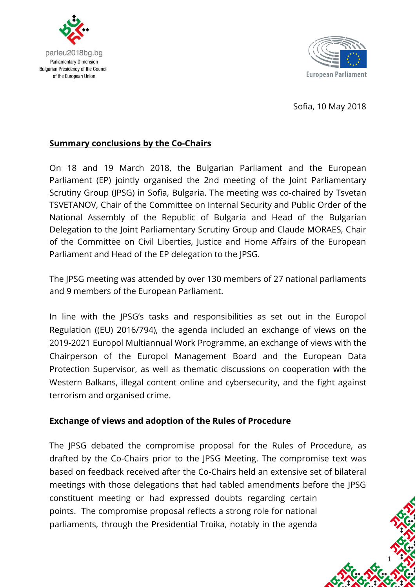



Sofia, 10 May 2018

1

### **Summary conclusions by the Co-Chairs**

On 18 and 19 March 2018, the Bulgarian Parliament and the European Parliament (EP) jointly organised the 2nd meeting of the Joint Parliamentary Scrutiny Group (JPSG) in Sofia, Bulgaria. The meeting was co-chaired by Tsvetan TSVETANOV, Chair of the Committee on Internal Security and Public Order of the National Assembly of the Republic of Bulgaria and Head of the Bulgarian Delegation to the Joint Parliamentary Scrutiny Group and Claude MORAES, Chair of the Committee on Civil Liberties, Justice and Home Affairs of the European Parliament and Head of the EP delegation to the JPSG.

The JPSG meeting was attended by over 130 members of 27 national parliaments and 9 members of the European Parliament.

In line with the JPSG's tasks and responsibilities as set out in the Europol Regulation ((EU) 2016/794), the agenda included an exchange of views on the 2019-2021 Europol Multiannual Work Programme, an exchange of views with the Chairperson of the Europol Management Board and the European Data Protection Supervisor, as well as thematic discussions on cooperation with the Western Balkans, illegal content online and cybersecurity, and the fight against terrorism and organised crime.

### **Exchange of views and adoption of the Rules of Procedure**

The JPSG debated the compromise proposal for the Rules of Procedure, as drafted by the Co-Chairs prior to the JPSG Meeting. The compromise text was based on feedback received after the Co-Chairs held an extensive set of bilateral meetings with those delegations that had tabled amendments before the JPSG constituent meeting or had expressed doubts regarding certain points. The compromise proposal reflects a strong role for national parliaments, through the Presidential Troika, notably in the agenda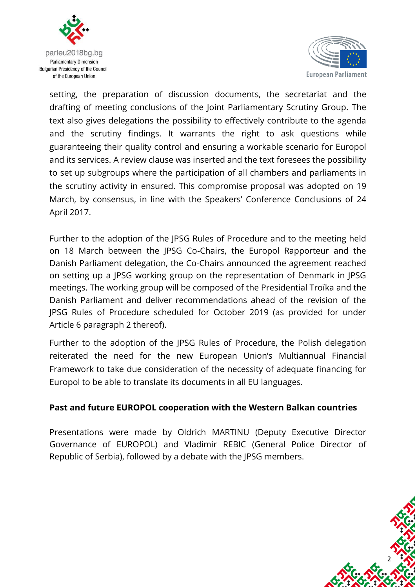



setting, the preparation of discussion documents, the secretariat and the drafting of meeting conclusions of the Joint Parliamentary Scrutiny Group. The text also gives delegations the possibility to effectively contribute to the agenda and the scrutiny findings. It warrants the right to ask questions while guaranteeing their quality control and ensuring a workable scenario for Europol and its services. A review clause was inserted and the text foresees the possibility to set up subgroups where the participation of all chambers and parliaments in the scrutiny activity in ensured. This compromise proposal was adopted on 19 March, by consensus, in line with the Speakers' Conference Conclusions of 24 April 2017.

Further to the adoption of the JPSG Rules of Procedure and to the meeting held on 18 March between the JPSG Co-Chairs, the Europol Rapporteur and the Danish Parliament delegation, the Co-Chairs announced the agreement reached on setting up a JPSG working group on the representation of Denmark in JPSG meetings. The working group will be composed of the Presidential Troïka and the Danish Parliament and deliver recommendations ahead of the revision of the JPSG Rules of Procedure scheduled for October 2019 (as provided for under Article 6 paragraph 2 thereof).

Further to the adoption of the JPSG Rules of Procedure, the Polish delegation reiterated the need for the new European Union's Multiannual Financial Framework to take due consideration of the necessity of adequate financing for Europol to be able to translate its documents in all EU languages.

### **Past and future EUROPOL cooperation with the Western Balkan countries**

Presentations were made by Oldrich MARTINU (Deputy Executive Director Governance of EUROPOL) and Vladimir REBIC (General Police Director of Republic of Serbia), followed by a debate with the JPSG members.

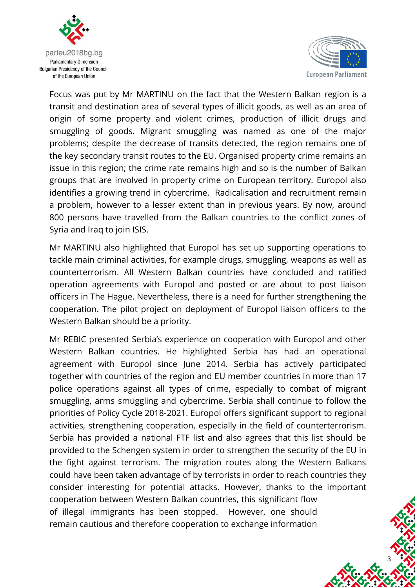



Focus was put by Mr MARTINU on the fact that the Western Balkan region is a transit and destination area of several types of illicit goods, as well as an area of origin of some property and violent crimes, production of illicit drugs and smuggling of goods. Migrant smuggling was named as one of the major problems; despite the decrease of transits detected, the region remains one of the key secondary transit routes to the EU. Organised property crime remains an issue in this region; the crime rate remains high and so is the number of Balkan groups that are involved in property crime on European territory. Europol also identifies a growing trend in cybercrime. Radicalisation and recruitment remain a problem, however to a lesser extent than in previous years. By now, around 800 persons have travelled from the Balkan countries to the conflict zones of Syria and Iraq to join ISIS.

Mr MARTINU also highlighted that Europol has set up supporting operations to tackle main criminal activities, for example drugs, smuggling, weapons as well as counterterrorism. All Western Balkan countries have concluded and ratified operation agreements with Europol and posted or are about to post liaison officers in The Hague. Nevertheless, there is a need for further strengthening the cooperation. The pilot project on deployment of Europol liaison officers to the Western Balkan should be a priority.

Mr REBIC presented Serbia's experience on cooperation with Europol and other Western Balkan countries. He highlighted Serbia has had an operational agreement with Europol since June 2014. Serbia has actively participated together with countries of the region and EU member countries in more than 17 police operations against all types of crime, especially to combat of migrant smuggling, arms smuggling and cybercrime. Serbia shall continue to follow the priorities of Policy Cycle 2018-2021. Europol offers significant support to regional activities, strengthening cooperation, especially in the field of counterterrorism. Serbia has provided a national FTF list and also agrees that this list should be provided to the Schengen system in order to strengthen the security of the EU in the fight against terrorism. The migration routes along the Western Balkans could have been taken advantage of by terrorists in order to reach countries they consider interesting for potential attacks. However, thanks to the important cooperation between Western Balkan countries, this significant flow of illegal immigrants has been stopped. However, one should remain cautious and therefore cooperation to exchange information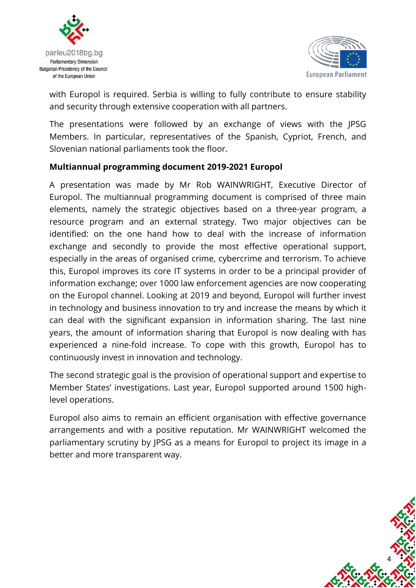



with Europol is required. Serbia is willing to fully contribute to ensure stability and security through extensive cooperation with all partners.

The presentations were followed by an exchange of views with the JPSG Members. In particular, representatives of the Spanish, Cypriot, French, and Slovenian national parliaments took the floor.

### **Multiannual programming document 2019-2021 Europol**

A presentation was made by Mr Rob WAINWRIGHT, Executive Director of Europol. The multiannual programming document is comprised of three main elements, namely the strategic objectives based on a three-year program, a resource program and an external strategy. Two major objectives can be identified: on the one hand how to deal with the increase of information exchange and secondly to provide the most effective operational support, especially in the areas of organised crime, cybercrime and terrorism. To achieve this, Europol improves its core IT systems in order to be a principal provider of information exchange; over 1000 law enforcement agencies are now cooperating on the Europol channel. Looking at 2019 and beyond, Europol will further invest in technology and business innovation to try and increase the means by which it can deal with the significant expansion in information sharing. The last nine years, the amount of information sharing that Europol is now dealing with has experienced a nine-fold increase. To cope with this growth, Europol has to continuously invest in innovation and technology.

The second strategic goal is the provision of operational support and expertise to Member States' investigations. Last year, Europol supported around 1500 highlevel operations.

Europol also aims to remain an efficient organisation with effective governance arrangements and with a positive reputation. Mr WAINWRIGHT welcomed the parliamentary scrutiny by JPSG as a means for Europol to project its image in a better and more transparent way.

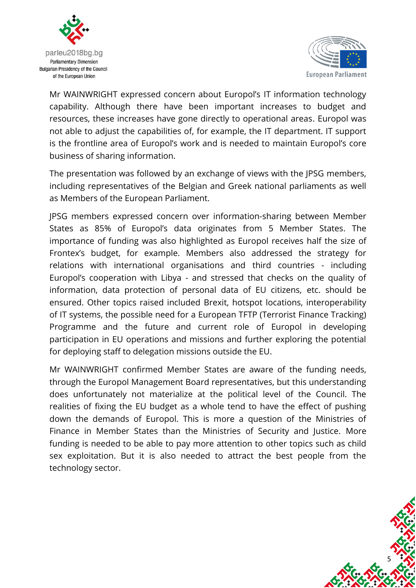



Mr WAINWRIGHT expressed concern about Europol's IT information technology capability. Although there have been important increases to budget and resources, these increases have gone directly to operational areas. Europol was not able to adjust the capabilities of, for example, the IT department. IT support is the frontline area of Europol's work and is needed to maintain Europol's core business of sharing information.

The presentation was followed by an exchange of views with the JPSG members, including representatives of the Belgian and Greek national parliaments as well as Members of the European Parliament.

JPSG members expressed concern over information-sharing between Member States as 85% of Europol's data originates from 5 Member States. The importance of funding was also highlighted as Europol receives half the size of Frontex's budget, for example. Members also addressed the strategy for relations with international organisations and third countries - including Europol's cooperation with Libya - and stressed that checks on the quality of information, data protection of personal data of EU citizens, etc. should be ensured. Other topics raised included Brexit, hotspot locations, interoperability of IT systems, the possible need for a European TFTP (Terrorist Finance Tracking) Programme and the future and current role of Europol in developing participation in EU operations and missions and further exploring the potential for deploying staff to delegation missions outside the EU.

Mr WAINWRIGHT confirmed Member States are aware of the funding needs, through the Europol Management Board representatives, but this understanding does unfortunately not materialize at the political level of the Council. The realities of fixing the EU budget as a whole tend to have the effect of pushing down the demands of Europol. This is more a question of the Ministries of Finance in Member States than the Ministries of Security and Justice. More funding is needed to be able to pay more attention to other topics such as child sex exploitation. But it is also needed to attract the best people from the technology sector.

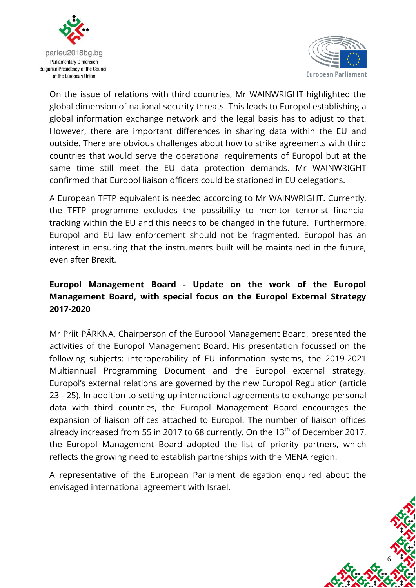



On the issue of relations with third countries, Mr WAINWRIGHT highlighted the global dimension of national security threats. This leads to Europol establishing a global information exchange network and the legal basis has to adjust to that. However, there are important differences in sharing data within the EU and outside. There are obvious challenges about how to strike agreements with third countries that would serve the operational requirements of Europol but at the same time still meet the EU data protection demands. Mr WAINWRIGHT confirmed that Europol liaison officers could be stationed in EU delegations.

A European TFTP equivalent is needed according to Mr WAINWRIGHT. Currently, the TFTP programme excludes the possibility to monitor terrorist financial tracking within the EU and this needs to be changed in the future. Furthermore, Europol and EU law enforcement should not be fragmented. Europol has an interest in ensuring that the instruments built will be maintained in the future, even after Brexit.

## **Europol Management Board - Update on the work of the Europol Management Board, with special focus on the Europol External Strategy 2017-2020**

Mr Priit PÄRKNA, Chairperson of the Europol Management Board, presented the activities of the Europol Management Board. His presentation focussed on the following subjects: interoperability of EU information systems, the 2019-2021 Multiannual Programming Document and the Europol external strategy. Europol's external relations are governed by the new Europol Regulation (article 23 - 25). In addition to setting up international agreements to exchange personal data with third countries, the Europol Management Board encourages the expansion of liaison offices attached to Europol. The number of liaison offices already increased from 55 in 2017 to 68 currently. On the 13<sup>th</sup> of December 2017, the Europol Management Board adopted the list of priority partners, which reflects the growing need to establish partnerships with the MENA region.

A representative of the European Parliament delegation enquired about the envisaged international agreement with Israel.

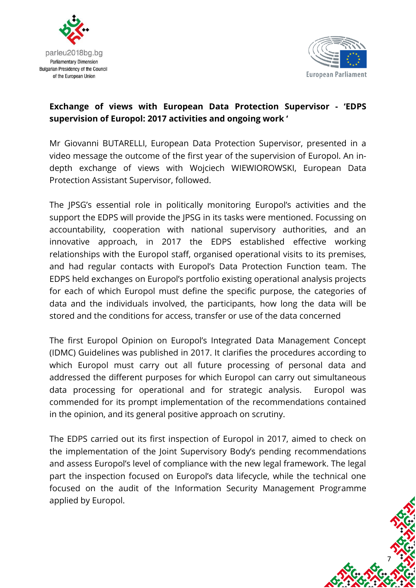



# **Exchange of views with European Data Protection Supervisor - 'EDPS supervision of Europol: 2017 activities and ongoing work '**

Mr Giovanni BUTARELLI, European Data Protection Supervisor, presented in a video message the outcome of the first year of the supervision of Europol. An indepth exchange of views with Wojciech WIEWIOROWSKI, European Data Protection Assistant Supervisor, followed.

The JPSG's essential role in politically monitoring Europol's activities and the support the EDPS will provide the JPSG in its tasks were mentioned. Focussing on accountability, cooperation with national supervisory authorities, and an innovative approach, in 2017 the EDPS established effective working relationships with the Europol staff, organised operational visits to its premises, and had regular contacts with Europol's Data Protection Function team. The EDPS held exchanges on Europol's portfolio existing operational analysis projects for each of which Europol must define the specific purpose, the categories of data and the individuals involved, the participants, how long the data will be stored and the conditions for access, transfer or use of the data concerned

The first Europol Opinion on Europol's Integrated Data Management Concept (IDMC) Guidelines was published in 2017. It clarifies the procedures according to which Europol must carry out all future processing of personal data and addressed the different purposes for which Europol can carry out simultaneous data processing for operational and for strategic analysis. Europol was commended for its prompt implementation of the recommendations contained in the opinion, and its general positive approach on scrutiny.

The EDPS carried out its first inspection of Europol in 2017, aimed to check on the implementation of the Joint Supervisory Body's pending recommendations and assess Europol's level of compliance with the new legal framework. The legal part the inspection focused on Europol's data lifecycle, while the technical one focused on the audit of the Information Security Management Programme applied by Europol.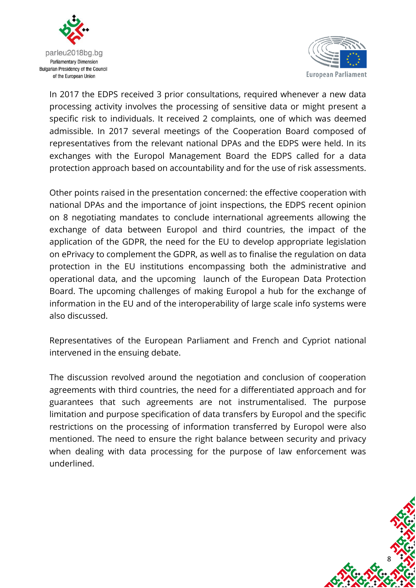



In 2017 the EDPS received 3 prior consultations, required whenever a new data processing activity involves the processing of sensitive data or might present a specific risk to individuals. It received 2 complaints, one of which was deemed admissible. In 2017 several meetings of the Cooperation Board composed of representatives from the relevant national DPAs and the EDPS were held. In its exchanges with the Europol Management Board the EDPS called for a data protection approach based on accountability and for the use of risk assessments.

Other points raised in the presentation concerned: the effective cooperation with national DPAs and the importance of joint inspections, the EDPS recent opinion on 8 negotiating mandates to conclude international agreements allowing the exchange of data between Europol and third countries, the impact of the application of the GDPR, the need for the EU to develop appropriate legislation on ePrivacy to complement the GDPR, as well as to finalise the regulation on data protection in the EU institutions encompassing both the administrative and operational data, and the upcoming launch of the European Data Protection Board. The upcoming challenges of making Europol a hub for the exchange of information in the EU and of the interoperability of large scale info systems were also discussed.

Representatives of the European Parliament and French and Cypriot national intervened in the ensuing debate.

The discussion revolved around the negotiation and conclusion of cooperation agreements with third countries, the need for a differentiated approach and for guarantees that such agreements are not instrumentalised. The purpose limitation and purpose specification of data transfers by Europol and the specific restrictions on the processing of information transferred by Europol were also mentioned. The need to ensure the right balance between security and privacy when dealing with data processing for the purpose of law enforcement was underlined.

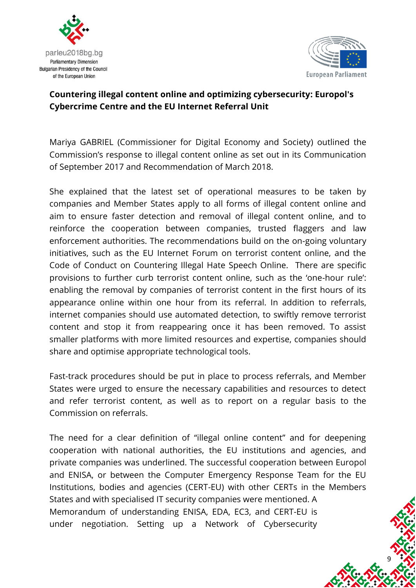



### **Countering illegal content online and optimizing cybersecurity: Europol's Cybercrime Centre and the EU Internet Referral Unit**

Mariya GABRIEL (Commissioner for Digital Economy and Society) outlined the Commission's response to illegal content online as set out in its Communication of September 2017 and Recommendation of March 2018.

She explained that the latest set of operational measures to be taken by companies and Member States apply to all forms of illegal content online and aim to ensure faster detection and removal of illegal content online, and to reinforce the cooperation between companies, trusted flaggers and law enforcement authorities. The recommendations build on the on-going voluntary initiatives, such as the EU Internet Forum on terrorist content online, and the Code of Conduct on Countering Illegal Hate Speech Online. There are specific provisions to further curb terrorist content online, such as the 'one-hour rule': enabling the removal by companies of terrorist content in the first hours of its appearance online within one hour from its referral. In addition to referrals, internet companies should use automated detection, to swiftly remove terrorist content and stop it from reappearing once it has been removed. To assist smaller platforms with more limited resources and expertise, companies should share and optimise appropriate technological tools.

Fast-track procedures should be put in place to process referrals, and Member States were urged to ensure the necessary capabilities and resources to detect and refer terrorist content, as well as to report on a regular basis to the Commission on referrals.

The need for a clear definition of "illegal online content" and for deepening cooperation with national authorities, the EU institutions and agencies, and private companies was underlined. The successful cooperation between Europol and ENISA, or between the Computer Emergency Response Team for the EU Institutions, bodies and agencies (CERT-EU) with other CERTs in the Members States and with specialised IT security companies were mentioned. A Memorandum of understanding ENISA, EDA, EC3, and CERT-EU is under negotiation. Setting up a Network of Cybersecurity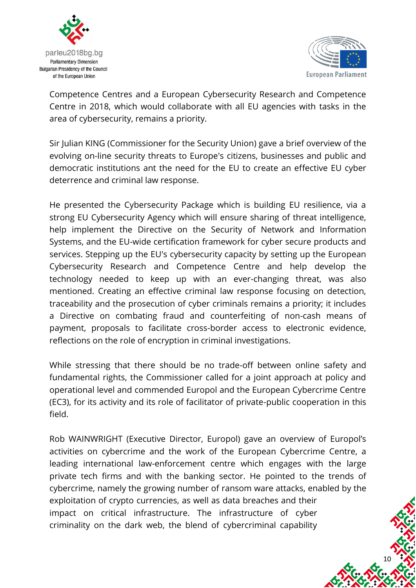



Competence Centres and a European Cybersecurity Research and Competence Centre in 2018, which would collaborate with all EU agencies with tasks in the area of cybersecurity, remains a priority.

Sir Julian KING (Commissioner for the Security Union) gave a brief overview of the evolving on-line security threats to Europe's citizens, businesses and public and democratic institutions ant the need for the EU to create an effective EU cyber deterrence and criminal law response.

He presented the Cybersecurity Package which is building EU resilience, via a strong EU Cybersecurity Agency which will ensure sharing of threat intelligence, help implement the Directive on the Security of Network and Information Systems, and the EU-wide certification framework for cyber secure products and services. Stepping up the EU's cybersecurity capacity by setting up the European Cybersecurity Research and Competence Centre and help develop the technology needed to keep up with an ever-changing threat, was also mentioned. Creating an effective criminal law response focusing on detection, traceability and the prosecution of cyber criminals remains a priority; it includes a Directive on combating fraud and counterfeiting of non-cash means of payment, proposals to facilitate cross-border access to electronic evidence, reflections on the role of encryption in criminal investigations.

While stressing that there should be no trade-off between online safety and fundamental rights, the Commissioner called for a joint approach at policy and operational level and commended Europol and the European Cybercrime Centre (EC3), for its activity and its role of facilitator of private-public cooperation in this field.

Rob WAINWRIGHT (Executive Director, Europol) gave an overview of Europol's activities on cybercrime and the work of the European Cybercrime Centre, a leading international law-enforcement centre which engages with the large private tech firms and with the banking sector. He pointed to the trends of cybercrime, namely the growing number of ransom ware attacks, enabled by the exploitation of crypto currencies, as well as data breaches and their impact on critical infrastructure. The infrastructure of cyber criminality on the dark web, the blend of cybercriminal capability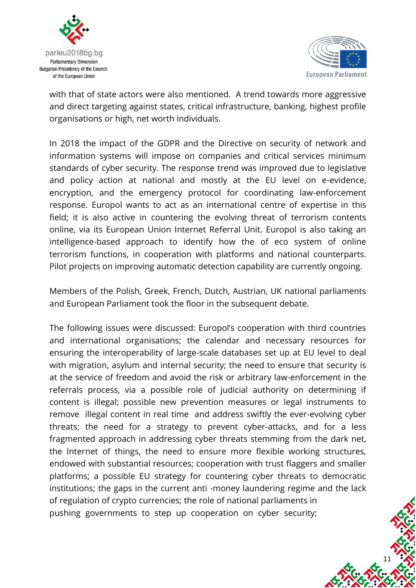



with that of state actors were also mentioned. A trend towards more aggressive and direct targeting against states, critical infrastructure, banking, highest profile organisations or high, net worth individuals.

In 2018 the impact of the GDPR and the Directive on security of network and information systems will impose on companies and critical services minimum standards of cyber security. The response trend was improved due to legislative and policy action at national and mostly at the EU level on e-evidence, encryption, and the emergency protocol for coordinating law-enforcement response. Europol wants to act as an international centre of expertise in this field; it is also active in countering the evolving threat of terrorism contents online, via its European Union Internet Referral Unit. Europol is also taking an intelligence-based approach to identify how the of eco system of online terrorism functions, in cooperation with platforms and national counterparts. Pilot projects on improving automatic detection capability are currently ongoing.

Members of the Polish, Greek, French, Dutch, Austrian, UK national parliaments and European Parliament took the floor in the subsequent debate.

The following issues were discussed: Europol's cooperation with third countries and international organisations; the calendar and necessary resources for ensuring the interoperability of large-scale databases set up at EU level to deal with migration, asylum and internal security; the need to ensure that security is at the service of freedom and avoid the risk or arbitrary law-enforcement in the referrals process, via a possible role of judicial authority on determining if content is illegal; possible new prevention measures or legal instruments to remove illegal content in real time and address swiftly the ever-evolving cyber threats; the need for a strategy to prevent cyber-attacks, and for a less fragmented approach in addressing cyber threats stemming from the dark net, the Internet of things, the need to ensure more flexible working structures, endowed with substantial resources; cooperation with trust flaggers and smaller platforms; a possible EU strategy for countering cyber threats to democratic institutions; the gaps in the current anti -money laundering regime and the lack of regulation of crypto currencies; the role of national parliaments in pushing governments to step up cooperation on cyber security;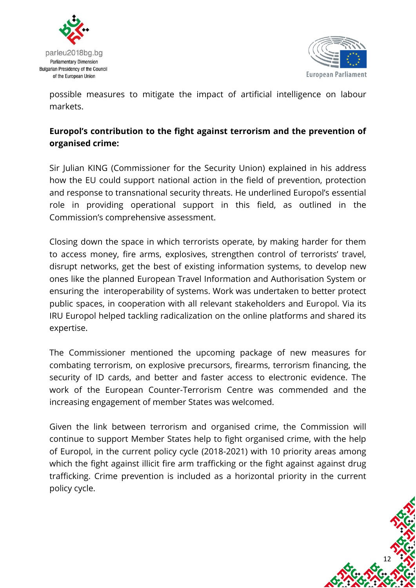



possible measures to mitigate the impact of artificial intelligence on labour markets.

# **Europol's contribution to the fight against terrorism and the prevention of organised crime:**

Sir Julian KING (Commissioner for the Security Union) explained in his address how the EU could support national action in the field of prevention, protection and response to transnational security threats. He underlined Europol's essential role in providing operational support in this field, as outlined in the Commission's comprehensive assessment.

Closing down the space in which terrorists operate, by making harder for them to access money, fire arms, explosives, strengthen control of terrorists' travel, disrupt networks, get the best of existing information systems, to develop new ones like the planned European Travel Information and Authorisation System or ensuring the interoperability of systems. Work was undertaken to better protect public spaces, in cooperation with all relevant stakeholders and Europol. Via its IRU Europol helped tackling radicalization on the online platforms and shared its expertise.

The Commissioner mentioned the upcoming package of new measures for combating terrorism, on explosive precursors, firearms, terrorism financing, the security of ID cards, and better and faster access to electronic evidence. The work of the European Counter-Terrorism Centre was commended and the increasing engagement of member States was welcomed.

Given the link between terrorism and organised crime, the Commission will continue to support Member States help to fight organised crime, with the help of Europol, in the current policy cycle (2018-2021) with 10 priority areas among which the fight against illicit fire arm trafficking or the fight against against drug trafficking. Crime prevention is included as a horizontal priority in the current policy cycle.

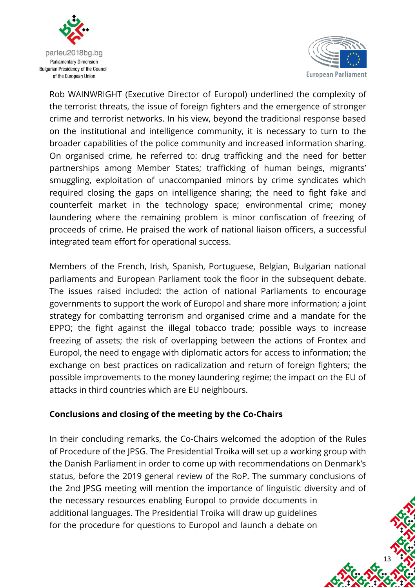



Rob WAINWRIGHT (Executive Director of Europol) underlined the complexity of the terrorist threats, the issue of foreign fighters and the emergence of stronger crime and terrorist networks. In his view, beyond the traditional response based on the institutional and intelligence community, it is necessary to turn to the broader capabilities of the police community and increased information sharing. On organised crime, he referred to: drug trafficking and the need for better partnerships among Member States; trafficking of human beings, migrants' smuggling, exploitation of unaccompanied minors by crime syndicates which required closing the gaps on intelligence sharing; the need to fight fake and counterfeit market in the technology space; environmental crime; money laundering where the remaining problem is minor confiscation of freezing of proceeds of crime. He praised the work of national liaison officers, a successful integrated team effort for operational success.

Members of the French, Irish, Spanish, Portuguese, Belgian, Bulgarian national parliaments and European Parliament took the floor in the subsequent debate. The issues raised included: the action of national Parliaments to encourage governments to support the work of Europol and share more information; a joint strategy for combatting terrorism and organised crime and a mandate for the EPPO; the fight against the illegal tobacco trade; possible ways to increase freezing of assets; the risk of overlapping between the actions of Frontex and Europol, the need to engage with diplomatic actors for access to information; the exchange on best practices on radicalization and return of foreign fighters; the possible improvements to the money laundering regime; the impact on the EU of attacks in third countries which are EU neighbours.

### **Conclusions and closing of the meeting by the Co-Chairs**

In their concluding remarks, the Co-Chairs welcomed the adoption of the Rules of Procedure of the JPSG. The Presidential Troika will set up a working group with the Danish Parliament in order to come up with recommendations on Denmark's status, before the 2019 general review of the RoP. The summary conclusions of the 2nd JPSG meeting will mention the importance of linguistic diversity and of the necessary resources enabling Europol to provide documents in additional languages. The Presidential Troika will draw up guidelines for the procedure for questions to Europol and launch a debate on